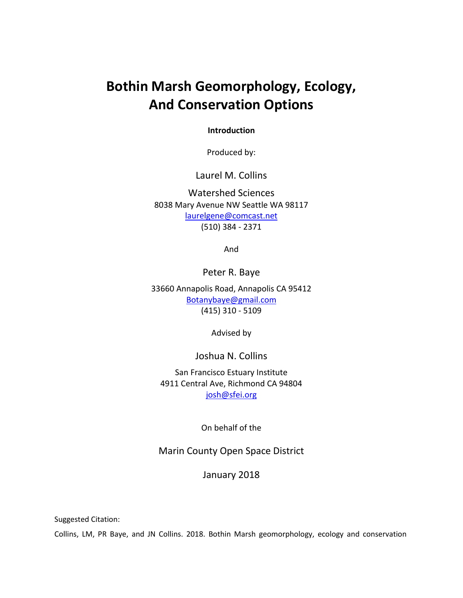# **Bothin Marsh Geomorphology, Ecology, And Conservation Options**

**Introduction**

Produced by:

Laurel M. Collins

Watershed Sciences 8038 Mary Avenue NW Seattle WA 98117 [laurelgene@comcast.net](mailto:laurelgene@comcast.net) (510) 384 - 2371

And

Peter R. Baye

33660 Annapolis Road, Annapolis CA 95412 [Botanybaye@gmail.com](mailto:Botanybaye@gmail.com) (415) 310 - 5109

Advised by

Joshua N. Collins

San Francisco Estuary Institute 4911 Central Ave, Richmond CA 94804 [josh@sfei.org](mailto:josh@sfei.org)

On behalf of the

Marin County Open Space District

January 2018

Suggested Citation:

Collins, LM, PR Baye, and JN Collins. 2018. Bothin Marsh geomorphology, ecology and conservation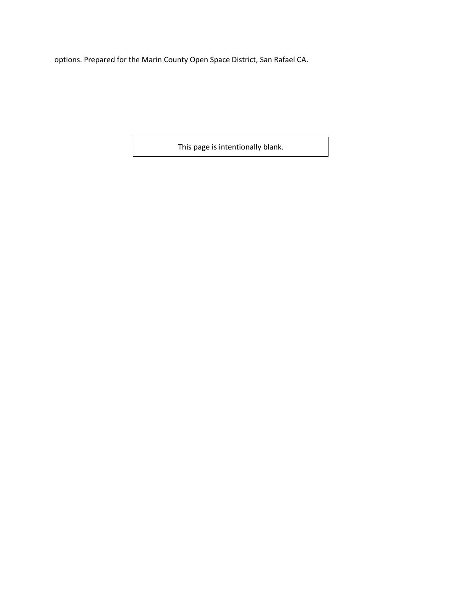options. Prepared for the Marin County Open Space District, San Rafael CA.

This page is intentionally blank.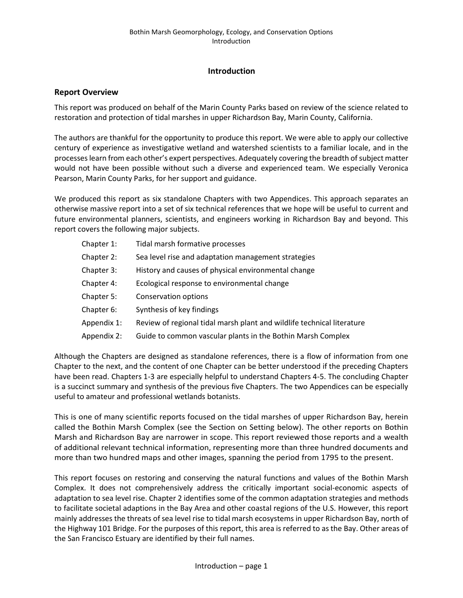## **Introduction**

#### **Report Overview**

This report was produced on behalf of the Marin County Parks based on review of the science related to restoration and protection of tidal marshes in upper Richardson Bay, Marin County, California.

The authors are thankful for the opportunity to produce this report. We were able to apply our collective century of experience as investigative wetland and watershed scientists to a familiar locale, and in the processes learn from each other's expert perspectives. Adequately covering the breadth of subject matter would not have been possible without such a diverse and experienced team. We especially Veronica Pearson, Marin County Parks, for her support and guidance.

We produced this report as six standalone Chapters with two Appendices. This approach separates an otherwise massive report into a set of six technical references that we hope will be useful to current and future environmental planners, scientists, and engineers working in Richardson Bay and beyond. This report covers the following major subjects.

| Chapter 1:  | Tidal marsh formative processes                                        |
|-------------|------------------------------------------------------------------------|
| Chapter 2:  | Sea level rise and adaptation management strategies                    |
| Chapter 3:  | History and causes of physical environmental change                    |
| Chapter 4:  | Ecological response to environmental change                            |
| Chapter 5:  | Conservation options                                                   |
| Chapter 6:  | Synthesis of key findings                                              |
| Appendix 1: | Review of regional tidal marsh plant and wildlife technical literature |
| Appendix 2: | Guide to common vascular plants in the Bothin Marsh Complex            |
|             |                                                                        |

Although the Chapters are designed as standalone references, there is a flow of information from one Chapter to the next, and the content of one Chapter can be better understood if the preceding Chapters have been read. Chapters 1-3 are especially helpful to understand Chapters 4-5. The concluding Chapter is a succinct summary and synthesis of the previous five Chapters. The two Appendices can be especially useful to amateur and professional wetlands botanists.

This is one of many scientific reports focused on the tidal marshes of upper Richardson Bay, herein called the Bothin Marsh Complex (see the Section on Setting below). The other reports on Bothin Marsh and Richardson Bay are narrower in scope. This report reviewed those reports and a wealth of additional relevant technical information, representing more than three hundred documents and more than two hundred maps and other images, spanning the period from 1795 to the present.

This report focuses on restoring and conserving the natural functions and values of the Bothin Marsh Complex. It does not comprehensively address the critically important social-economic aspects of adaptation to sea level rise. Chapter 2 identifies some of the common adaptation strategies and methods to facilitate societal adaptions in the Bay Area and other coastal regions of the U.S. However, this report mainly addresses the threats of sea level rise to tidal marsh ecosystems in upper Richardson Bay, north of the Highway 101 Bridge. For the purposes of this report, this area is referred to as the Bay. Other areas of the San Francisco Estuary are identified by their full names.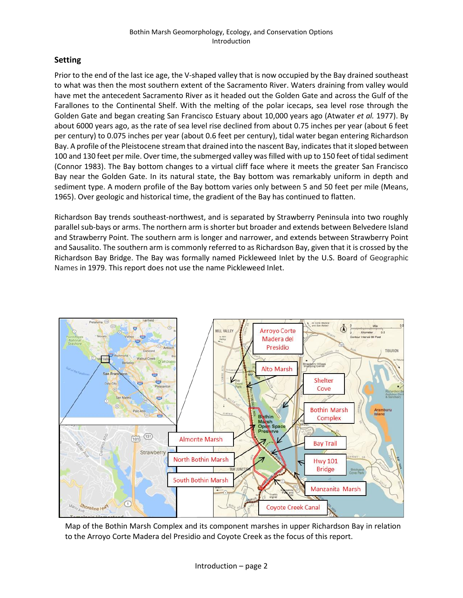#### **Setting**

Prior to the end of the last ice age, the V-shaped valley that is now occupied by the Bay drained southeast to what was then the most southern extent of the Sacramento River. Waters draining from valley would have met the antecedent Sacramento River as it headed out the Golden Gate and across the Gulf of the Farallones to the Continental Shelf. With the melting of the polar icecaps, sea level rose through the Golden Gate and began creating San Francisco Estuary about 10,000 years ago (Atwater *et al.* 1977). By about 6000 years ago, as the rate of sea level rise declined from about 0.75 inches per year (about 6 feet per century) to 0.075 inches per year (about 0.6 feet per century), tidal water began entering Richardson Bay. A profile of the Pleistocene stream that drained into the nascent Bay, indicates that it sloped between 100 and 130 feet per mile. Over time, the submerged valley wasfilled with up to 150 feet of tidal sediment (Connor 1983). The Bay bottom changes to a virtual cliff face where it meets the greater San Francisco Bay near the Golden Gate. In its natural state, the Bay bottom was remarkably uniform in depth and sediment type. A modern profile of the Bay bottom varies only between 5 and 50 feet per mile (Means, 1965). Over geologic and historical time, the gradient of the Bay has continued to flatten.

Richardson Bay trends southeast‐northwest, and is separated by Strawberry Peninsula into two roughly parallel sub‐bays or arms. The northern arm is shorter but broader and extends between Belvedere Island and Strawberry Point. The southern arm is longer and narrower, and extends between Strawberry Point and Sausalito. The southern arm is commonly referred to as Richardson Bay, given that it is crossed by the Richardson Bay Bridge. The Bay was formally named Pickleweed Inlet by the U.S. Board of Geographic Names in 1979. This report does not use the name Pickleweed Inlet.



Map of the Bothin Marsh Complex and its component marshes in upper Richardson Bay in relation to the Arroyo Corte Madera del Presidio and Coyote Creek as the focus of this report.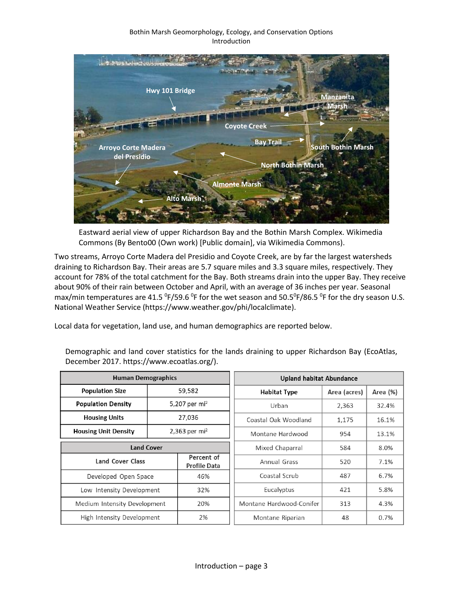#### Bothin Marsh Geomorphology, Ecology, and Conservation Options Introduction



Eastward aerial view of upper Richardson Bay and the Bothin Marsh Complex. Wikimedia Commons (By Bento00 (Own work) [Public domain], via Wikimedia Commons).

Two streams, Arroyo Corte Madera del Presidio and Coyote Creek, are by far the largest watersheds draining to Richardson Bay. Their areas are 5.7 square miles and 3.3 square miles, respectively. They account for 78% of the total catchment for the Bay. Both streams drain into the upper Bay. They receive about 90% of their rain between October and April, with an average of 36 inches per year. Seasonal max/min temperatures are 41.5  $^{0}$ F/59.6  $^{0}$ F for the wet season and 50.5 $^{0}$ F/86.5  $^{0}$ F for the dry season U.S. National Weather Service [\(https://www.weather.gov/phi/localclimate\)](https://www.weather.gov/phi/localclimate).

Local data for vegetation, land use, and human demographics are reported below.

Demographic and land cover statistics for the lands draining to upper Richardson Bay (EcoAtlas, December 2017. https://www.ecoatlas.org/).

| <b>Human Demographics</b>    |  |                                   | <b>Upland habitat Abundance</b> |              |          |
|------------------------------|--|-----------------------------------|---------------------------------|--------------|----------|
| <b>Population Size</b>       |  | 59,582                            | <b>Habitat Type</b>             | Area (acres) | Area (%) |
| <b>Population Density</b>    |  | 5,207 per mi <sup>2</sup>         | Urban                           | 2,363        | 32.4%    |
| <b>Housing Units</b>         |  | 27,036                            | Coastal Oak Woodland            | 1,175        | 16.1%    |
| <b>Housing Unit Density</b>  |  | 2,363 per $mi^2$                  | Montane Hardwood                | 954          | 13.1%    |
| <b>Land Cover</b>            |  |                                   | Mixed Chaparral                 | 584          | 8.0%     |
| <b>Land Cover Class</b>      |  | Percent of<br><b>Profile Data</b> | Annual Grass                    | 520          | 7.1%     |
| Developed Open Space         |  | 46%                               | Coastal Scrub                   | 487          | 6.7%     |
| Low Intensity Development    |  | 32%                               | Eucalyptus                      | 421          | 5.8%     |
| Medium Intensity Development |  | 20%                               | Montane Hardwood-Conifer        | 313          | 4.3%     |
| High Intensity Development   |  | 2%                                | Montane Riparian                | 48           | 0.7%     |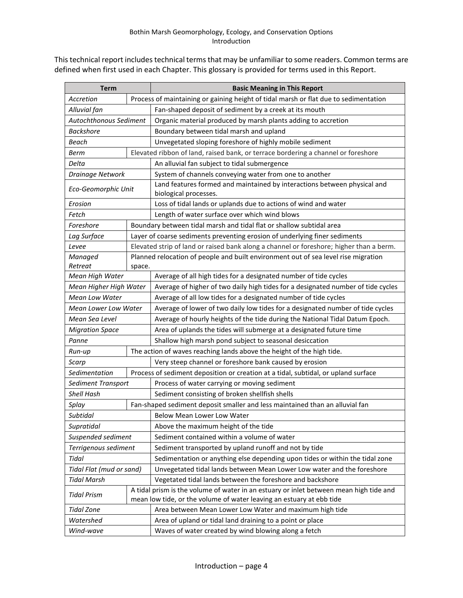This technical report includes technical terms that may be unfamiliar to some readers. Common terms are defined when first used in each Chapter. This glossary is provided for terms used in this Report.

| <b>Term</b>                 |        | <b>Basic Meaning in This Report</b>                                                     |  |  |  |
|-----------------------------|--------|-----------------------------------------------------------------------------------------|--|--|--|
| Accretion                   |        | Process of maintaining or gaining height of tidal marsh or flat due to sedimentation    |  |  |  |
| Alluvial fan                |        | Fan-shaped deposit of sediment by a creek at its mouth                                  |  |  |  |
| Autochthonous Sediment      |        | Organic material produced by marsh plants adding to accretion                           |  |  |  |
| <b>Backshore</b>            |        | Boundary between tidal marsh and upland                                                 |  |  |  |
| Beach                       |        | Unvegetated sloping foreshore of highly mobile sediment                                 |  |  |  |
| <b>Berm</b>                 |        | Elevated ribbon of land, raised bank, or terrace bordering a channel or foreshore       |  |  |  |
| Delta                       |        | An alluvial fan subject to tidal submergence                                            |  |  |  |
| Drainage Network            |        | System of channels conveying water from one to another                                  |  |  |  |
| <b>Eco-Geomorphic Unit</b>  |        | Land features formed and maintained by interactions between physical and                |  |  |  |
|                             |        | biological processes.                                                                   |  |  |  |
| Erosion                     |        | Loss of tidal lands or uplands due to actions of wind and water                         |  |  |  |
| Fetch                       |        | Length of water surface over which wind blows                                           |  |  |  |
| Foreshore                   |        | Boundary between tidal marsh and tidal flat or shallow subtidal area                    |  |  |  |
| Lag Surface                 |        | Layer of coarse sediments preventing erosion of underlying finer sediments              |  |  |  |
| Levee                       |        | Elevated strip of land or raised bank along a channel or foreshore; higher than a berm. |  |  |  |
| Managed                     |        | Planned relocation of people and built environment out of sea level rise migration      |  |  |  |
| Retreat                     | space. |                                                                                         |  |  |  |
| Mean High Water             |        | Average of all high tides for a designated number of tide cycles                        |  |  |  |
| Mean Higher High Water      |        | Average of higher of two daily high tides for a designated number of tide cycles        |  |  |  |
| <b>Mean Low Water</b>       |        | Average of all low tides for a designated number of tide cycles                         |  |  |  |
| <b>Mean Lower Low Water</b> |        | Average of lower of two daily low tides for a designated number of tide cycles          |  |  |  |
| Mean Sea Level              |        | Average of hourly heights of the tide during the National Tidal Datum Epoch.            |  |  |  |
| <b>Migration Space</b>      |        | Area of uplands the tides will submerge at a designated future time                     |  |  |  |
| Panne                       |        | Shallow high marsh pond subject to seasonal desiccation                                 |  |  |  |
| Run-up                      |        | The action of waves reaching lands above the height of the high tide.                   |  |  |  |
| Scarp                       |        | Very steep channel or foreshore bank caused by erosion                                  |  |  |  |
| Sedimentation               |        | Process of sediment deposition or creation at a tidal, subtidal, or upland surface      |  |  |  |
| Sediment Transport          |        | Process of water carrying or moving sediment                                            |  |  |  |
| <b>Shell Hash</b>           |        | Sediment consisting of broken shellfish shells                                          |  |  |  |
| Splay                       |        | Fan-shaped sediment deposit smaller and less maintained than an alluvial fan            |  |  |  |
| Subtidal                    |        | Below Mean Lower Low Water                                                              |  |  |  |
| Supratidal                  |        | Above the maximum height of the tide                                                    |  |  |  |
| Suspended sediment          |        | Sediment contained within a volume of water                                             |  |  |  |
| Terrigenous sediment        |        | Sediment transported by upland runoff and not by tide                                   |  |  |  |
| Tidal                       |        | Sedimentation or anything else depending upon tides or within the tidal zone            |  |  |  |
| Tidal Flat (mud or sand)    |        | Unvegetated tidal lands between Mean Lower Low water and the foreshore                  |  |  |  |
| <b>Tidal Marsh</b>          |        | Vegetated tidal lands between the foreshore and backshore                               |  |  |  |
|                             |        | A tidal prism is the volume of water in an estuary or inlet between mean high tide and  |  |  |  |
| <b>Tidal Prism</b>          |        | mean low tide, or the volume of water leaving an estuary at ebb tide                    |  |  |  |
| Tidal Zone                  |        | Area between Mean Lower Low Water and maximum high tide                                 |  |  |  |
| Watershed                   |        | Area of upland or tidal land draining to a point or place                               |  |  |  |
| Wind-wave                   |        | Waves of water created by wind blowing along a fetch                                    |  |  |  |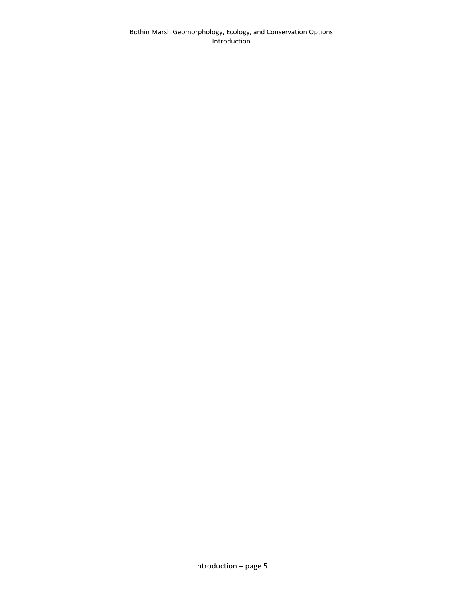#### Bothin Marsh Geomorphology, Ecology, and Conservation Options Introduction